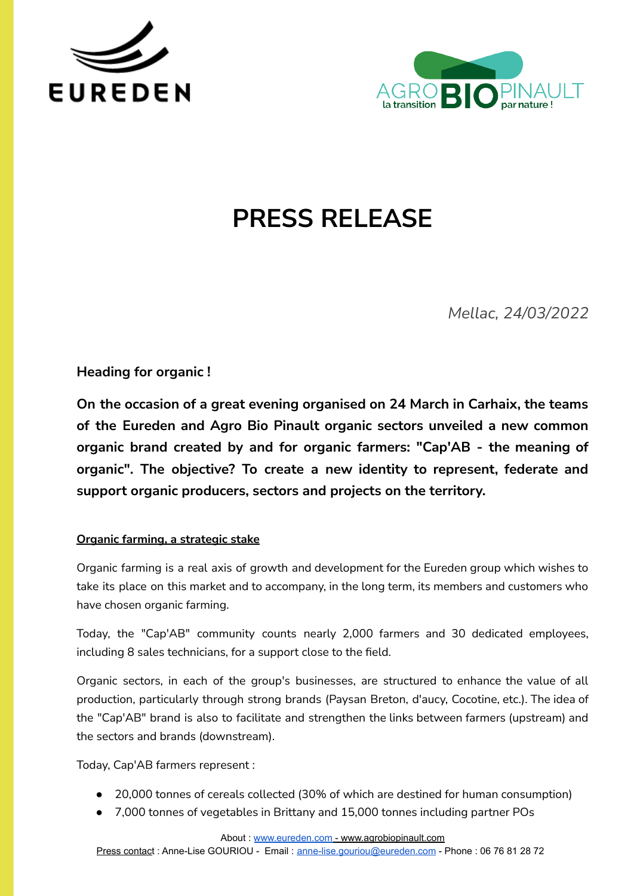



# **PRESS RELEASE**

*Mellac, 24/03/2022*

**Heading for organic !**

**On the occasion of a great evening organised on 24 March in Carhaix, the teams of the Eureden and Agro Bio Pinault organic sectors unveiled a new common organic brand created by and for organic farmers: "Cap'AB - the meaning of organic". The objective? To create a new identity to represent, federate and support organic producers, sectors and projects on the territory.**

# **Organic farming, a strategic stake**

Organic farming is a real axis of growth and development for the Eureden group which wishes to take its place on this market and to accompany, in the long term, its members and customers who have chosen organic farming.

Today, the "Cap'AB" community counts nearly 2,000 farmers and 30 dedicated employees, including 8 sales technicians, for a support close to the field.

Organic sectors, in each of the group's businesses, are structured to enhance the value of all production, particularly through strong brands (Paysan Breton, d'aucy, Cocotine, etc.). The idea of the "Cap'AB" brand is also to facilitate and strengthen the links between farmers (upstream) and the sectors and brands (downstream).

Today, Cap'AB farmers represent :

- 20,000 tonnes of cereals collected (30% of which are destined for human consumption)
- 7,000 tonnes of vegetables in Brittany and 15,000 tonnes including partner POs

About : [www.eureden.com](http://www.eureden.com) - www.agrobiopinault.com

Press contact : Anne-Lise GOURIOU - Email : [anne-lise.gouriou@eureden.com](mailto:anne-lise.gouriou@eureden.com) - Phone : 06 76 81 28 72